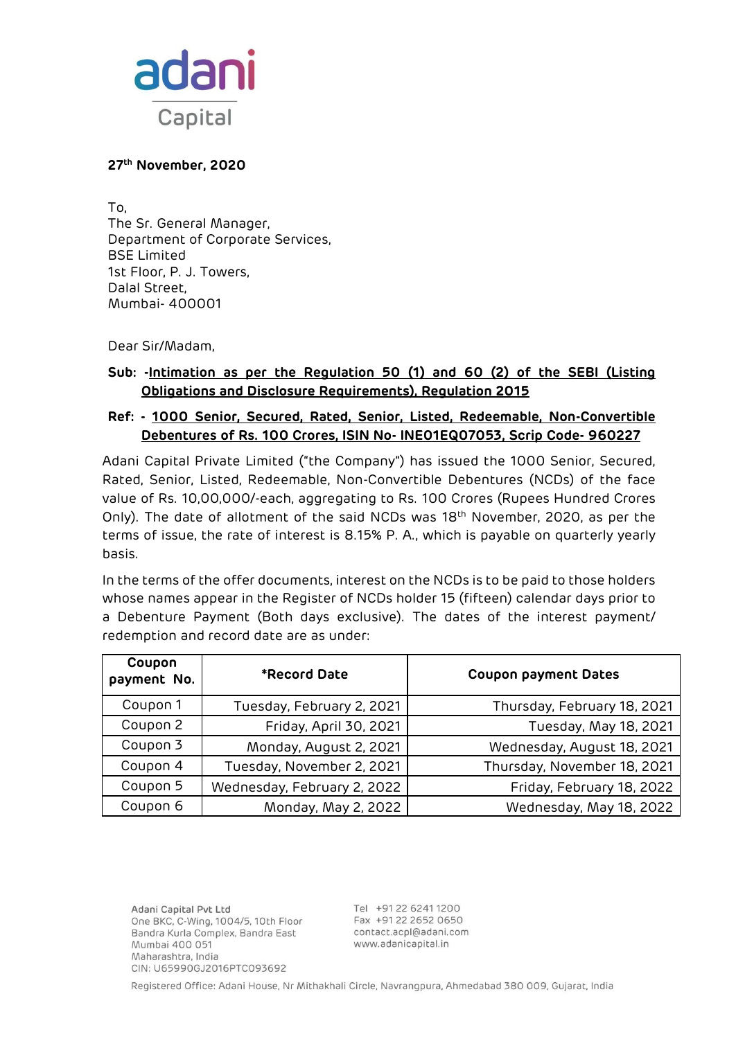

#### **27th November, 2020**

To, The Sr. General Manager, Department of Corporate Services, BSE Limited 1st Floor, P. J. Towers, Dalal Street, Mumbai- 400001

Dear Sir/Madam,

# **Sub: -Intimation as per the Regulation 50 (1) and 60 (2) of the SEBI (Listing Obligations and Disclosure Requirements), Regulation 2015**

## **Ref: - 1000 Senior, Secured, Rated, Senior, Listed, Redeemable, Non-Convertible Debentures of Rs. 100 Crores, ISIN No- INE01EQ07053, Scrip Code- 960227**

Adani Capital Private Limited ("the Company") has issued the 1000 Senior, Secured, Rated, Senior, Listed, Redeemable, Non-Convertible Debentures (NCDs) of the face value of Rs. 10,00,000/-each, aggregating to Rs. 100 Crores (Rupees Hundred Crores Only). The date of allotment of the said NCDs was 18th November, 2020, as per the terms of issue, the rate of interest is 8.15% P. A., which is payable on quarterly yearly basis.

In the terms of the offer documents, interest on the NCDs is to be paid to those holders whose names appear in the Register of NCDs holder 15 (fifteen) calendar days prior to a Debenture Payment (Both days exclusive). The dates of the interest payment/ redemption and record date are as under:

| Coupon<br>payment No. | <b>*Record Date</b>         | <b>Coupon payment Dates</b> |
|-----------------------|-----------------------------|-----------------------------|
| Coupon 1              | Tuesday, February 2, 2021   | Thursday, February 18, 2021 |
| Coupon 2              | Friday, April 30, 2021      | Tuesday, May 18, 2021       |
| Coupon 3              | Monday, August 2, 2021      | Wednesday, August 18, 2021  |
| Coupon 4              | Tuesday, November 2, 2021   | Thursday, November 18, 2021 |
| Coupon 5              | Wednesday, February 2, 2022 | Friday, February 18, 2022   |
| Coupon 6              | Monday, May 2, 2022         | Wednesday, May 18, 2022     |

Adani Capital Pvt Ltd One BKC, C-Wing, 1004/5, 10th Floor Bandra Kurla Complex, Bandra East Mumbai 400 051 Maharashtra, India CIN: U65990GJ2016PTC093692

Tel +91 22 6241 1200 Fax +91 22 2652 0650 contact.acpl@adani.com www.adanicapital.in

Registered Office: Adani House, Nr Mithakhali Circle, Navrangpura, Ahmedabad 380 009, Gujarat, India